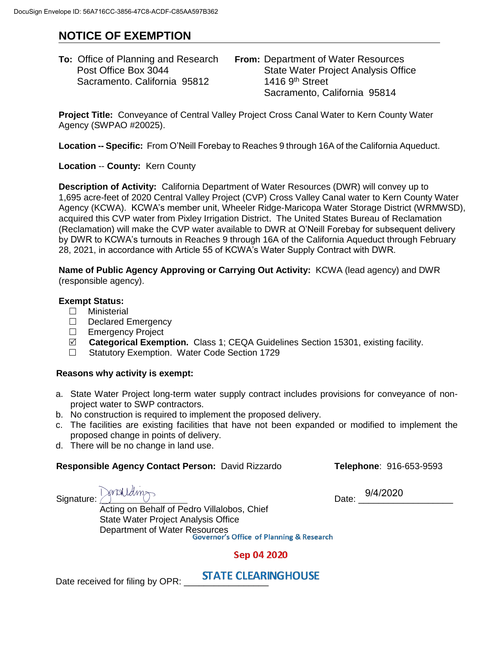# **NOTICE OF EXEMPTION**

| <b>To:</b> Office of Planning and Research | <b>From: Department of Water Resources</b> |
|--------------------------------------------|--------------------------------------------|
| Post Office Box 3044                       | <b>State Water Project Analysis Office</b> |
| Sacramento. California 95812               | 1416 9 <sup>th</sup> Street                |
|                                            | Sacramento, California 95814               |

**Project Title:** Conveyance of Central Valley Project Cross Canal Water to Kern County Water Agency (SWPAO #20025).

**Location -- Specific:** From O'Neill Forebay to Reaches 9 through 16A of the California Aqueduct.

**Location** -- **County:** Kern County

**Description of Activity:** California Department of Water Resources (DWR) will convey up to 1,695 acre-feet of 2020 Central Valley Project (CVP) Cross Valley Canal water to Kern County Water Agency (KCWA). KCWA's member unit, Wheeler Ridge-Maricopa Water Storage District (WRMWSD), acquired this CVP water from Pixley Irrigation District. The United States Bureau of Reclamation (Reclamation) will make the CVP water available to DWR at O'Neill Forebay for subsequent delivery by DWR to KCWA's turnouts in Reaches 9 through 16A of the California Aqueduct through February 28, 2021, in accordance with Article 55 of KCWA's Water Supply Contract with DWR.

**Name of Public Agency Approving or Carrying Out Activity:** KCWA (lead agency) and DWR (responsible agency).

### **Exempt Status:**

- Ministerial
- Declared Emergency
- □ Emergency Project
- **Categorical Exemption.** Class 1; CEQA Guidelines Section 15301, existing facility.
- □ Statutory Exemption. Water Code Section 1729

#### **Reasons why activity is exempt:**

- a. State Water Project long-term water supply contract includes provisions for conveyance of nonproject water to SWP contractors.
- b. No construction is required to implement the proposed delivery.
- c. The facilities are existing facilities that have not been expanded or modified to implement the proposed change in points of delivery.
- d. There will be no change in land use.

#### **Responsible Agency Contact Person:** David Rizzardo **Telephone**: 916-653-9593

Signature: Densliding

Date: 9/4/2020

Acting on Behalf of Pedro Villalobos, Chief State Water Project Analysis Office Department of Water Resources<br>Governor's Office of Planning & Research

## Sep 04 2020

Date received for filing by OPR: STATE CLEARINGHOUSE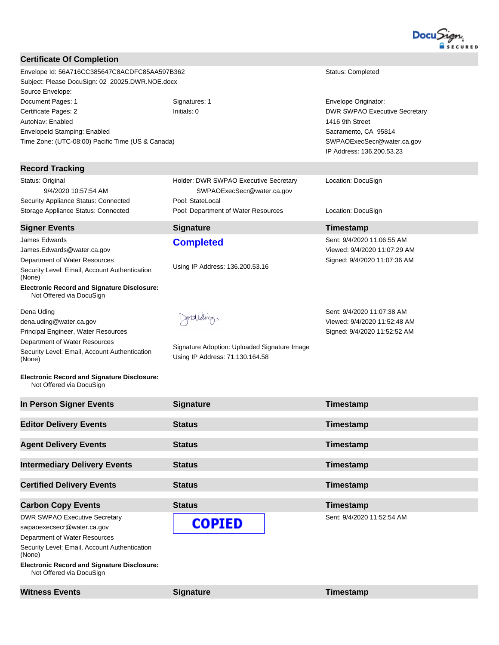

| Envelope Id: 56A716CC385647C8ACDFC85AA597B362<br>Subject: Please DocuSign: 02_20025.DWR.NOE.docx | Status: Completed                                                                                                                                       |
|--------------------------------------------------------------------------------------------------|---------------------------------------------------------------------------------------------------------------------------------------------------------|
| Signatures: 1                                                                                    | Envelope Originator:                                                                                                                                    |
|                                                                                                  | DWR SWPAO Executive Secretary<br>1416 9th Street                                                                                                        |
|                                                                                                  | Sacramento, CA 95814                                                                                                                                    |
|                                                                                                  | SWPAOExecSecr@water.ca.gov<br>IP Address: 136.200.53.23                                                                                                 |
|                                                                                                  |                                                                                                                                                         |
| Holder: DWR SWPAO Executive Secretary<br>SWPAOExecSecr@water.ca.gov                              | Location: DocuSign                                                                                                                                      |
| Pool: Department of Water Resources                                                              | Location: DocuSign                                                                                                                                      |
| <b>Signature</b>                                                                                 | Timestamp                                                                                                                                               |
| <b>Completed</b>                                                                                 | Sent: 9/4/2020 11:06:55 AM<br>Viewed: 9/4/2020 11:07:29 AM                                                                                              |
|                                                                                                  | Signed: 9/4/2020 11:07:36 AM                                                                                                                            |
|                                                                                                  |                                                                                                                                                         |
|                                                                                                  |                                                                                                                                                         |
|                                                                                                  | Sent: 9/4/2020 11:07:38 AM                                                                                                                              |
|                                                                                                  | Viewed: 9/4/2020 11:52:48 AM                                                                                                                            |
|                                                                                                  | Signed: 9/4/2020 11:52:52 AM                                                                                                                            |
| Signature Adoption: Uploaded Signature Image<br>Using IP Address: 71.130.164.58                  |                                                                                                                                                         |
|                                                                                                  |                                                                                                                                                         |
| <b>Signature</b>                                                                                 | Timestamp                                                                                                                                               |
| <b>Status</b>                                                                                    | Timestamp                                                                                                                                               |
| <b>Status</b>                                                                                    | Timestamp                                                                                                                                               |
| <b>Status</b>                                                                                    | Timestamp                                                                                                                                               |
| <b>Status</b>                                                                                    | Timestamp                                                                                                                                               |
|                                                                                                  |                                                                                                                                                         |
|                                                                                                  | Timestamp                                                                                                                                               |
| <b>COPIED</b>                                                                                    | Sent: 9/4/2020 11:52:54 AM                                                                                                                              |
|                                                                                                  |                                                                                                                                                         |
|                                                                                                  |                                                                                                                                                         |
|                                                                                                  | Initials: 0<br>Time Zone: (UTC-08:00) Pacific Time (US & Canada)<br>Pool: StateLocal<br>Using IP Address: 136.200.53.16<br>Sonarguella<br><b>Status</b> |

**Electronic Record and Signature Disclosure:**  Not Offered via DocuSign

**Witness Events Signature Construction Construction Construction Construction Construction Construction Construction Construction Construction Construction Construction Construction Construction Construction Constructi**